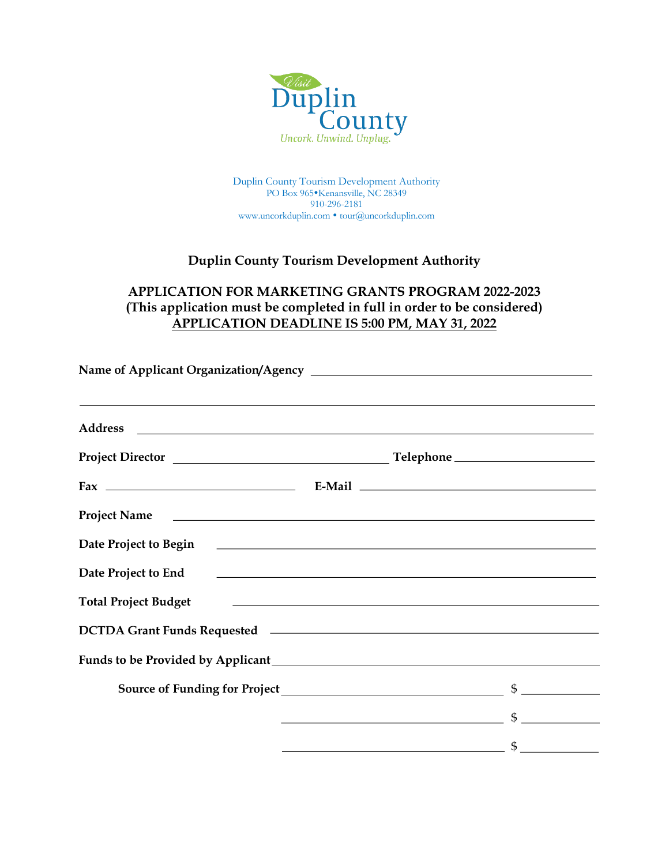

Duplin County Tourism Development Authority PO Box 965 Kenansville, NC 28349 910-296-2181 www.uncorkduplin.com • tour@uncorkduplin.com

## **Duplin County Tourism Development Authority**

## **APPLICATION FOR MARKETING GRANTS PROGRAM 2022-2023 (This application must be completed in full in order to be considered) APPLICATION DEADLINE IS 5:00 PM, MAY 31, 2022**

| <u> 1989 - Andrea Santana, amerikana amerikana amerikana amerikana amerikana amerikana amerikana amerikana amerika</u>                                                                      |                                                                                                                        |               |
|---------------------------------------------------------------------------------------------------------------------------------------------------------------------------------------------|------------------------------------------------------------------------------------------------------------------------|---------------|
|                                                                                                                                                                                             |                                                                                                                        |               |
|                                                                                                                                                                                             |                                                                                                                        |               |
|                                                                                                                                                                                             |                                                                                                                        |               |
|                                                                                                                                                                                             |                                                                                                                        |               |
| Date Project to End<br><u> and</u> <u>and</u> <b>Date Project</b> to End <b>black black black black black black black black black black black black black black black black black black</b> |                                                                                                                        |               |
| <b>Total Project Budget</b><br><u> 1990 - Jan Barbara, martxa al II-lea (h. 1982).</u>                                                                                                      |                                                                                                                        |               |
|                                                                                                                                                                                             |                                                                                                                        |               |
|                                                                                                                                                                                             |                                                                                                                        |               |
|                                                                                                                                                                                             |                                                                                                                        |               |
|                                                                                                                                                                                             | <u> 1989 - Johann Barbara, martin a bhaile an t-Alban an t-Alban an t-Alban an t-Alban an t-Alban an t-Alban an t-</u> | $\sim$        |
|                                                                                                                                                                                             | <u> 2008 - Andrea State Barbara, amerikan personal di sebagai personal di sebagai personal di sebagai personal di</u>  | $\frac{1}{2}$ |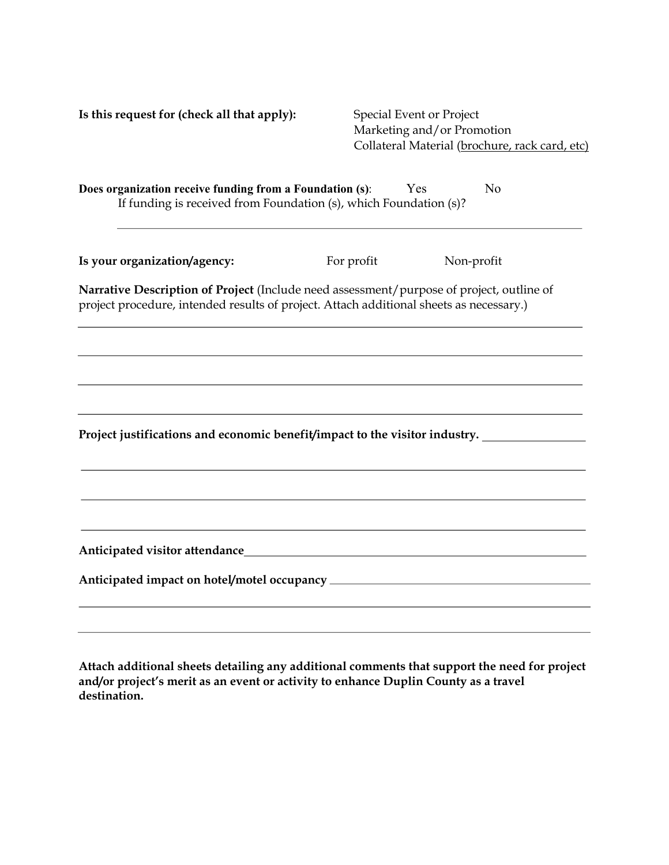| Is this request for (check all that apply):                                                                                                                                         |            | <b>Special Event or Project</b><br>Marketing and/or Promotion |  |  |  |
|-------------------------------------------------------------------------------------------------------------------------------------------------------------------------------------|------------|---------------------------------------------------------------|--|--|--|
|                                                                                                                                                                                     |            | Collateral Material (brochure, rack card, etc)                |  |  |  |
| Does organization receive funding from a Foundation (s):<br>Yes<br>N <sub>o</sub><br>If funding is received from Foundation (s), which Foundation (s)?                              |            |                                                               |  |  |  |
| Is your organization/agency:                                                                                                                                                        | For profit | Non-profit                                                    |  |  |  |
| Narrative Description of Project (Include need assessment/purpose of project, outline of<br>project procedure, intended results of project. Attach additional sheets as necessary.) |            |                                                               |  |  |  |
|                                                                                                                                                                                     |            |                                                               |  |  |  |
|                                                                                                                                                                                     |            |                                                               |  |  |  |
| Project justifications and economic benefit/impact to the visitor industry.                                                                                                         |            |                                                               |  |  |  |
|                                                                                                                                                                                     |            |                                                               |  |  |  |
|                                                                                                                                                                                     |            |                                                               |  |  |  |
|                                                                                                                                                                                     |            |                                                               |  |  |  |
|                                                                                                                                                                                     |            |                                                               |  |  |  |
|                                                                                                                                                                                     |            |                                                               |  |  |  |

**Attach additional sheets detailing any additional comments that support the need for project and/or project's merit as an event or activity to enhance Duplin County as a travel destination.**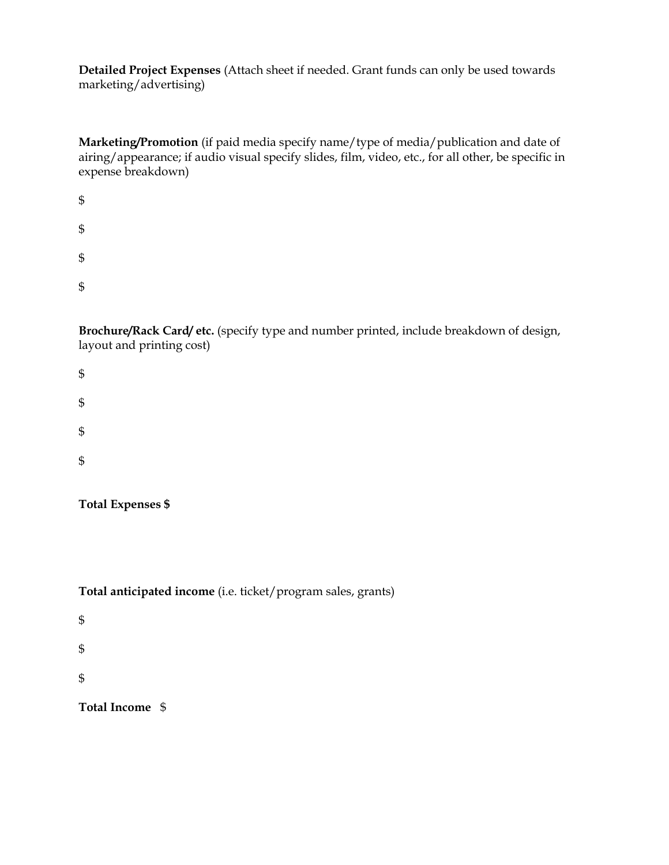**Detailed Project Expenses** (Attach sheet if needed. Grant funds can only be used towards marketing/advertising)

**Marketing/Promotion** (if paid media specify name/type of media/publication and date of airing/appearance; if audio visual specify slides, film, video, etc., for all other, be specific in expense breakdown)

| $\mathbb{S}$ |  |  |  |
|--------------|--|--|--|
| $\mathbb{S}$ |  |  |  |
| $\mathbb{S}$ |  |  |  |
| $\mathbb{S}$ |  |  |  |

**Brochure/Rack Card/ etc.** (specify type and number printed, include breakdown of design, layout and printing cost)

| $\boldsymbol{\$}$          |  |  |
|----------------------------|--|--|
| $\boldsymbol{\$}$          |  |  |
| $\boldsymbol{\$}$          |  |  |
| $\boldsymbol{\mathsf{\$}}$ |  |  |
|                            |  |  |

**Total Expenses \$**

**Total anticipated income** (i.e. ticket/program sales, grants)

\$ \$ \$

**Total Income** \$